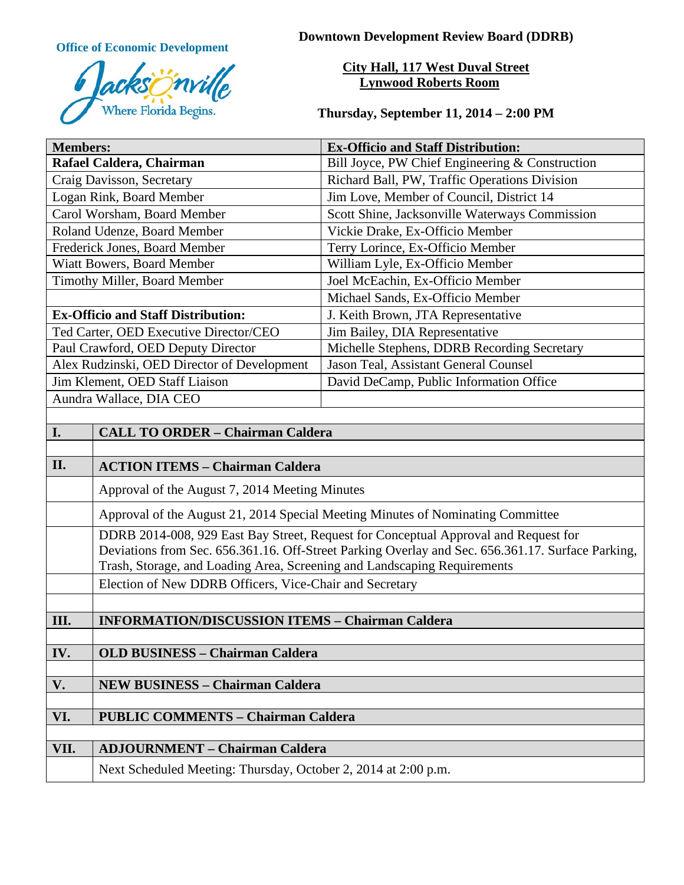

**Office of Economic Development Downtown Development Review Board (DDRB)** 

# **City Hall, 117 West Duval Street Lynwood Roberts Room**

**Thursday, September 11, 2014 – 2:00 PM**

| <b>Members:</b>                             |                                                                                                                                                                                                                                                                      | <b>Ex-Officio and Staff Distribution:</b>       |
|---------------------------------------------|----------------------------------------------------------------------------------------------------------------------------------------------------------------------------------------------------------------------------------------------------------------------|-------------------------------------------------|
| Rafael Caldera, Chairman                    |                                                                                                                                                                                                                                                                      | Bill Joyce, PW Chief Engineering & Construction |
| Craig Davisson, Secretary                   |                                                                                                                                                                                                                                                                      | Richard Ball, PW, Traffic Operations Division   |
| Logan Rink, Board Member                    |                                                                                                                                                                                                                                                                      | Jim Love, Member of Council, District 14        |
| Carol Worsham, Board Member                 |                                                                                                                                                                                                                                                                      | Scott Shine, Jacksonville Waterways Commission  |
| Roland Udenze, Board Member                 |                                                                                                                                                                                                                                                                      | Vickie Drake, Ex-Officio Member                 |
| Frederick Jones, Board Member               |                                                                                                                                                                                                                                                                      | Terry Lorince, Ex-Officio Member                |
| Wiatt Bowers, Board Member                  |                                                                                                                                                                                                                                                                      | William Lyle, Ex-Officio Member                 |
| Timothy Miller, Board Member                |                                                                                                                                                                                                                                                                      | Joel McEachin, Ex-Officio Member                |
|                                             |                                                                                                                                                                                                                                                                      | Michael Sands, Ex-Officio Member                |
| <b>Ex-Officio and Staff Distribution:</b>   |                                                                                                                                                                                                                                                                      | J. Keith Brown, JTA Representative              |
| Ted Carter, OED Executive Director/CEO      |                                                                                                                                                                                                                                                                      | Jim Bailey, DIA Representative                  |
| Paul Crawford, OED Deputy Director          |                                                                                                                                                                                                                                                                      | Michelle Stephens, DDRB Recording Secretary     |
| Alex Rudzinski, OED Director of Development |                                                                                                                                                                                                                                                                      | Jason Teal, Assistant General Counsel           |
| Jim Klement, OED Staff Liaison              |                                                                                                                                                                                                                                                                      | David DeCamp, Public Information Office         |
| Aundra Wallace, DIA CEO                     |                                                                                                                                                                                                                                                                      |                                                 |
|                                             |                                                                                                                                                                                                                                                                      |                                                 |
| I.                                          | <b>CALL TO ORDER - Chairman Caldera</b>                                                                                                                                                                                                                              |                                                 |
|                                             |                                                                                                                                                                                                                                                                      |                                                 |
| II.                                         | <b>ACTION ITEMS - Chairman Caldera</b>                                                                                                                                                                                                                               |                                                 |
|                                             | Approval of the August 7, 2014 Meeting Minutes                                                                                                                                                                                                                       |                                                 |
|                                             | Approval of the August 21, 2014 Special Meeting Minutes of Nominating Committee                                                                                                                                                                                      |                                                 |
|                                             | DDRB 2014-008, 929 East Bay Street, Request for Conceptual Approval and Request for<br>Deviations from Sec. 656.361.16. Off-Street Parking Overlay and Sec. 656.361.17. Surface Parking,<br>Trash, Storage, and Loading Area, Screening and Landscaping Requirements |                                                 |
|                                             | Election of New DDRB Officers, Vice-Chair and Secretary                                                                                                                                                                                                              |                                                 |
|                                             |                                                                                                                                                                                                                                                                      |                                                 |
| III.                                        | <b>INFORMATION/DISCUSSION ITEMS - Chairman Caldera</b>                                                                                                                                                                                                               |                                                 |
|                                             |                                                                                                                                                                                                                                                                      |                                                 |
| IV.                                         | <b>OLD BUSINESS - Chairman Caldera</b>                                                                                                                                                                                                                               |                                                 |
| V.                                          | <b>NEW BUSINESS - Chairman Caldera</b>                                                                                                                                                                                                                               |                                                 |
|                                             |                                                                                                                                                                                                                                                                      |                                                 |
| VI.                                         | <b>PUBLIC COMMENTS - Chairman Caldera</b>                                                                                                                                                                                                                            |                                                 |
|                                             |                                                                                                                                                                                                                                                                      |                                                 |
| VII.                                        | <b>ADJOURNMENT - Chairman Caldera</b>                                                                                                                                                                                                                                |                                                 |
|                                             | Next Scheduled Meeting: Thursday, October 2, 2014 at 2:00 p.m.                                                                                                                                                                                                       |                                                 |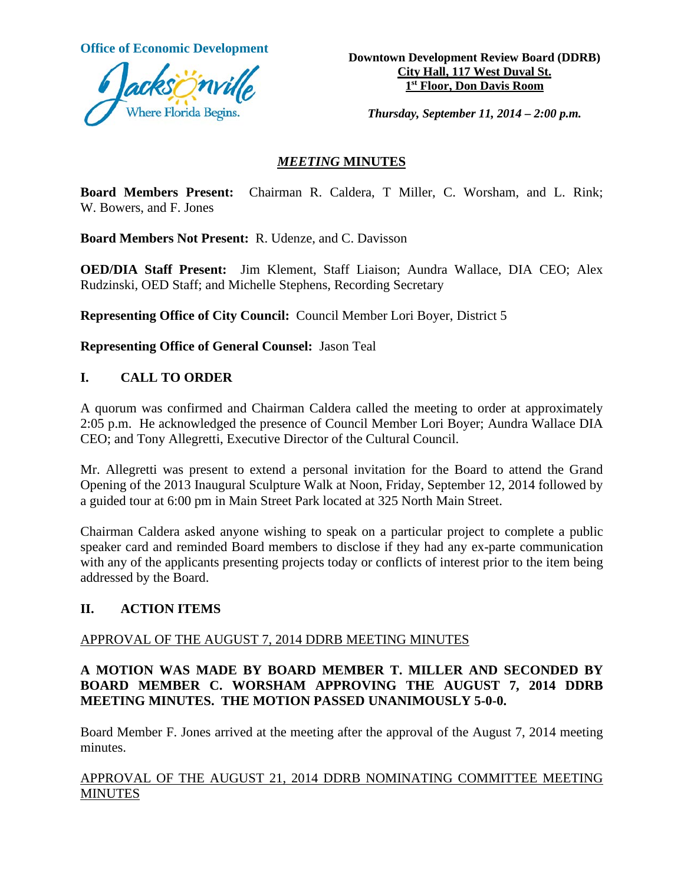

**Office of Economic Development**<br> **Downtown Development Review Board (DDRB) City Hall, 117 West Duval St. 1st Floor, Don Davis Room**

*Thursday, September 11, 2014 – 2:00 p.m.*

### *MEETING* **MINUTES**

**Board Members Present:** Chairman R. Caldera, T Miller, C. Worsham, and L. Rink; W. Bowers, and F. Jones

**Board Members Not Present:** R. Udenze, and C. Davisson

**OED/DIA Staff Present:** Jim Klement, Staff Liaison; Aundra Wallace, DIA CEO; Alex Rudzinski, OED Staff; and Michelle Stephens, Recording Secretary

**Representing Office of City Council:** Council Member Lori Boyer, District 5

**Representing Office of General Counsel:** Jason Teal

### **I. CALL TO ORDER**

A quorum was confirmed and Chairman Caldera called the meeting to order at approximately 2:05 p.m. He acknowledged the presence of Council Member Lori Boyer; Aundra Wallace DIA CEO; and Tony Allegretti, Executive Director of the Cultural Council.

Mr. Allegretti was present to extend a personal invitation for the Board to attend the Grand Opening of the 2013 Inaugural Sculpture Walk at Noon, Friday, September 12, 2014 followed by a guided tour at 6:00 pm in Main Street Park located at 325 North Main Street.

Chairman Caldera asked anyone wishing to speak on a particular project to complete a public speaker card and reminded Board members to disclose if they had any ex-parte communication with any of the applicants presenting projects today or conflicts of interest prior to the item being addressed by the Board.

#### **II. ACTION ITEMS**

### APPROVAL OF THE AUGUST 7, 2014 DDRB MEETING MINUTES

## **A MOTION WAS MADE BY BOARD MEMBER T. MILLER AND SECONDED BY BOARD MEMBER C. WORSHAM APPROVING THE AUGUST 7, 2014 DDRB MEETING MINUTES. THE MOTION PASSED UNANIMOUSLY 5-0-0.**

Board Member F. Jones arrived at the meeting after the approval of the August 7, 2014 meeting minutes.

## APPROVAL OF THE AUGUST 21, 2014 DDRB NOMINATING COMMITTEE MEETING **MINUTES**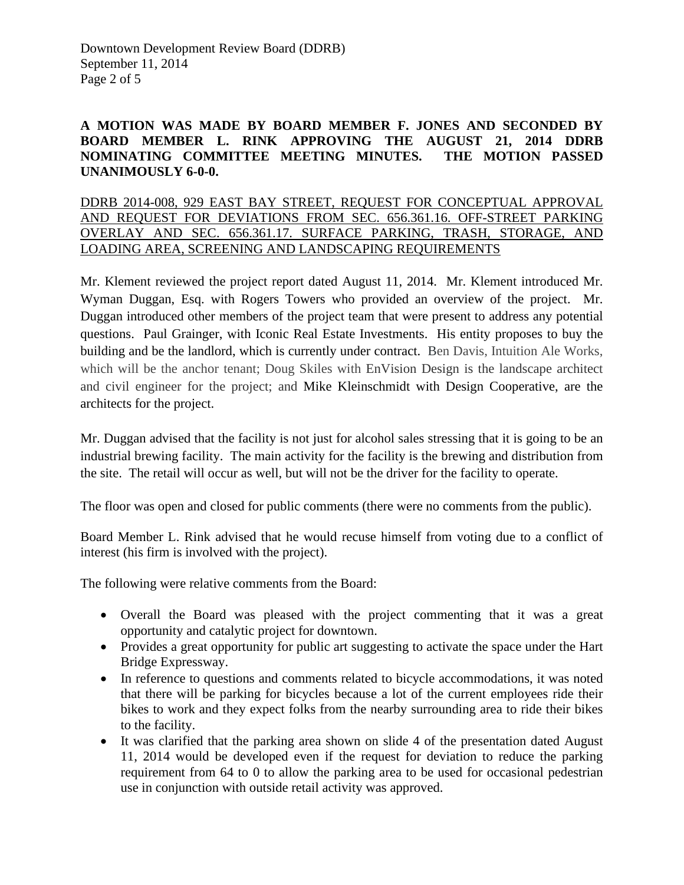## **A MOTION WAS MADE BY BOARD MEMBER F. JONES AND SECONDED BY BOARD MEMBER L. RINK APPROVING THE AUGUST 21, 2014 DDRB NOMINATING COMMITTEE MEETING MINUTES. THE MOTION PASSED UNANIMOUSLY 6-0-0.**

DDRB 2014-008, 929 EAST BAY STREET, REQUEST FOR CONCEPTUAL APPROVAL AND REQUEST FOR DEVIATIONS FROM SEC. 656.361.16. OFF-STREET PARKING OVERLAY AND SEC. 656.361.17. SURFACE PARKING, TRASH, STORAGE, AND LOADING AREA, SCREENING AND LANDSCAPING REQUIREMENTS

Mr. Klement reviewed the project report dated August 11, 2014. Mr. Klement introduced Mr. Wyman Duggan, Esq. with Rogers Towers who provided an overview of the project. Mr. Duggan introduced other members of the project team that were present to address any potential questions. Paul Grainger, with Iconic Real Estate Investments. His entity proposes to buy the building and be the landlord, which is currently under contract. Ben Davis, Intuition Ale Works, which will be the anchor tenant; Doug Skiles with EnVision Design is the landscape architect and civil engineer for the project; and Mike Kleinschmidt with Design Cooperative, are the architects for the project.

Mr. Duggan advised that the facility is not just for alcohol sales stressing that it is going to be an industrial brewing facility. The main activity for the facility is the brewing and distribution from the site. The retail will occur as well, but will not be the driver for the facility to operate.

The floor was open and closed for public comments (there were no comments from the public).

Board Member L. Rink advised that he would recuse himself from voting due to a conflict of interest (his firm is involved with the project).

The following were relative comments from the Board:

- Overall the Board was pleased with the project commenting that it was a great opportunity and catalytic project for downtown.
- Provides a great opportunity for public art suggesting to activate the space under the Hart Bridge Expressway.
- In reference to questions and comments related to bicycle accommodations, it was noted that there will be parking for bicycles because a lot of the current employees ride their bikes to work and they expect folks from the nearby surrounding area to ride their bikes to the facility.
- It was clarified that the parking area shown on slide 4 of the presentation dated August 11, 2014 would be developed even if the request for deviation to reduce the parking requirement from 64 to 0 to allow the parking area to be used for occasional pedestrian use in conjunction with outside retail activity was approved.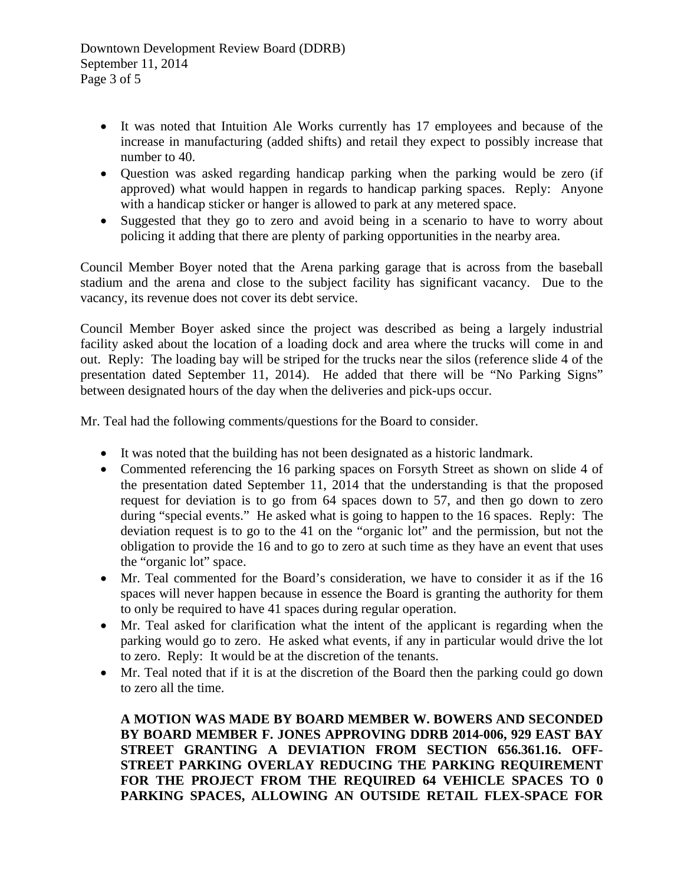- It was noted that Intuition Ale Works currently has 17 employees and because of the increase in manufacturing (added shifts) and retail they expect to possibly increase that number to 40.
- Question was asked regarding handicap parking when the parking would be zero (if approved) what would happen in regards to handicap parking spaces. Reply: Anyone with a handicap sticker or hanger is allowed to park at any metered space.
- Suggested that they go to zero and avoid being in a scenario to have to worry about policing it adding that there are plenty of parking opportunities in the nearby area.

Council Member Boyer noted that the Arena parking garage that is across from the baseball stadium and the arena and close to the subject facility has significant vacancy. Due to the vacancy, its revenue does not cover its debt service.

Council Member Boyer asked since the project was described as being a largely industrial facility asked about the location of a loading dock and area where the trucks will come in and out. Reply: The loading bay will be striped for the trucks near the silos (reference slide 4 of the presentation dated September 11, 2014). He added that there will be "No Parking Signs" between designated hours of the day when the deliveries and pick-ups occur.

Mr. Teal had the following comments/questions for the Board to consider.

- It was noted that the building has not been designated as a historic landmark.
- Commented referencing the 16 parking spaces on Forsyth Street as shown on slide 4 of the presentation dated September 11, 2014 that the understanding is that the proposed request for deviation is to go from 64 spaces down to 57, and then go down to zero during "special events." He asked what is going to happen to the 16 spaces. Reply: The deviation request is to go to the 41 on the "organic lot" and the permission, but not the obligation to provide the 16 and to go to zero at such time as they have an event that uses the "organic lot" space.
- Mr. Teal commented for the Board's consideration, we have to consider it as if the 16 spaces will never happen because in essence the Board is granting the authority for them to only be required to have 41 spaces during regular operation.
- Mr. Teal asked for clarification what the intent of the applicant is regarding when the parking would go to zero. He asked what events, if any in particular would drive the lot to zero. Reply: It would be at the discretion of the tenants.
- Mr. Teal noted that if it is at the discretion of the Board then the parking could go down to zero all the time.

**A MOTION WAS MADE BY BOARD MEMBER W. BOWERS AND SECONDED BY BOARD MEMBER F. JONES APPROVING DDRB 2014-006, 929 EAST BAY STREET GRANTING A DEVIATION FROM SECTION 656.361.16. OFF-STREET PARKING OVERLAY REDUCING THE PARKING REQUIREMENT FOR THE PROJECT FROM THE REQUIRED 64 VEHICLE SPACES TO 0 PARKING SPACES, ALLOWING AN OUTSIDE RETAIL FLEX-SPACE FOR**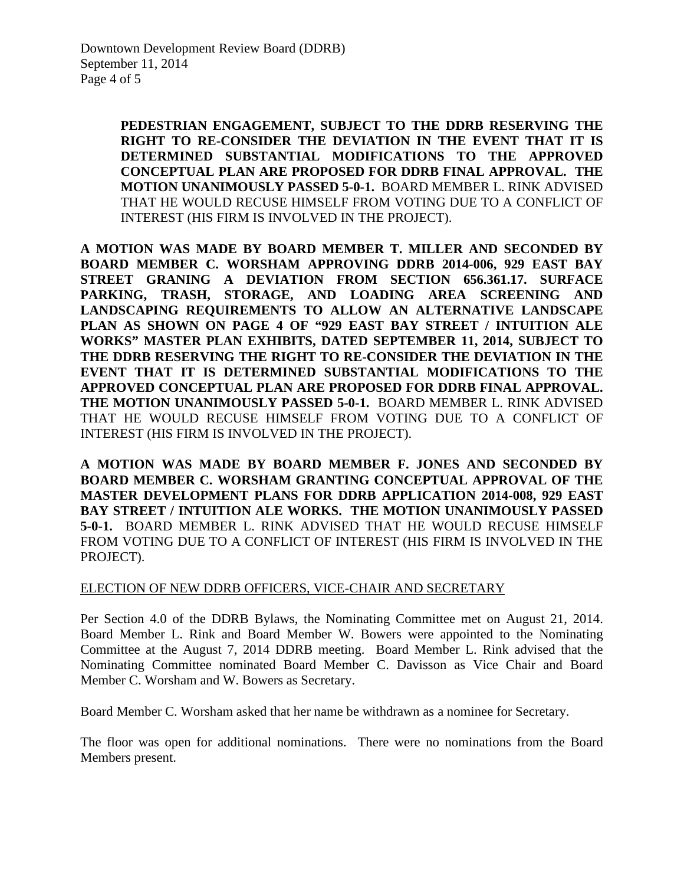**PEDESTRIAN ENGAGEMENT, SUBJECT TO THE DDRB RESERVING THE RIGHT TO RE-CONSIDER THE DEVIATION IN THE EVENT THAT IT IS DETERMINED SUBSTANTIAL MODIFICATIONS TO THE APPROVED CONCEPTUAL PLAN ARE PROPOSED FOR DDRB FINAL APPROVAL. THE MOTION UNANIMOUSLY PASSED 5-0-1.** BOARD MEMBER L. RINK ADVISED THAT HE WOULD RECUSE HIMSELF FROM VOTING DUE TO A CONFLICT OF INTEREST (HIS FIRM IS INVOLVED IN THE PROJECT).

**A MOTION WAS MADE BY BOARD MEMBER T. MILLER AND SECONDED BY BOARD MEMBER C. WORSHAM APPROVING DDRB 2014-006, 929 EAST BAY STREET GRANING A DEVIATION FROM SECTION 656.361.17. SURFACE PARKING, TRASH, STORAGE, AND LOADING AREA SCREENING AND LANDSCAPING REQUIREMENTS TO ALLOW AN ALTERNATIVE LANDSCAPE PLAN AS SHOWN ON PAGE 4 OF "929 EAST BAY STREET / INTUITION ALE WORKS" MASTER PLAN EXHIBITS, DATED SEPTEMBER 11, 2014, SUBJECT TO THE DDRB RESERVING THE RIGHT TO RE-CONSIDER THE DEVIATION IN THE EVENT THAT IT IS DETERMINED SUBSTANTIAL MODIFICATIONS TO THE APPROVED CONCEPTUAL PLAN ARE PROPOSED FOR DDRB FINAL APPROVAL. THE MOTION UNANIMOUSLY PASSED 5-0-1.** BOARD MEMBER L. RINK ADVISED THAT HE WOULD RECUSE HIMSELF FROM VOTING DUE TO A CONFLICT OF INTEREST (HIS FIRM IS INVOLVED IN THE PROJECT).

**A MOTION WAS MADE BY BOARD MEMBER F. JONES AND SECONDED BY BOARD MEMBER C. WORSHAM GRANTING CONCEPTUAL APPROVAL OF THE MASTER DEVELOPMENT PLANS FOR DDRB APPLICATION 2014-008, 929 EAST BAY STREET / INTUITION ALE WORKS. THE MOTION UNANIMOUSLY PASSED 5-0-1.** BOARD MEMBER L. RINK ADVISED THAT HE WOULD RECUSE HIMSELF FROM VOTING DUE TO A CONFLICT OF INTEREST (HIS FIRM IS INVOLVED IN THE PROJECT).

#### ELECTION OF NEW DDRB OFFICERS, VICE-CHAIR AND SECRETARY

Per Section 4.0 of the DDRB Bylaws, the Nominating Committee met on August 21, 2014. Board Member L. Rink and Board Member W. Bowers were appointed to the Nominating Committee at the August 7, 2014 DDRB meeting. Board Member L. Rink advised that the Nominating Committee nominated Board Member C. Davisson as Vice Chair and Board Member C. Worsham and W. Bowers as Secretary.

Board Member C. Worsham asked that her name be withdrawn as a nominee for Secretary.

The floor was open for additional nominations. There were no nominations from the Board Members present.